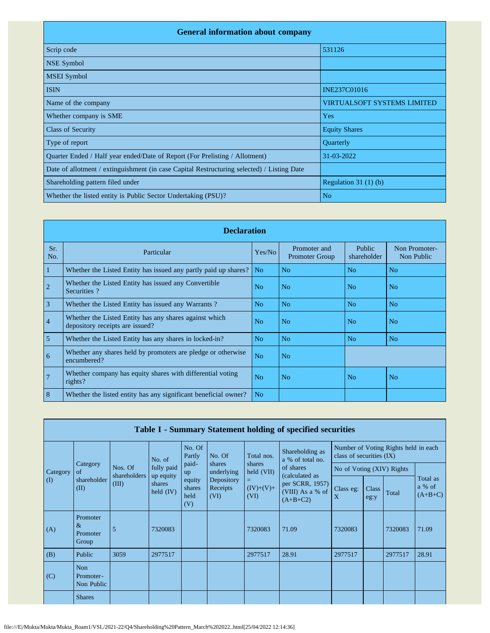| <b>General information about company</b>                                                   |                                    |  |  |  |  |  |  |  |
|--------------------------------------------------------------------------------------------|------------------------------------|--|--|--|--|--|--|--|
| Scrip code                                                                                 | 531126                             |  |  |  |  |  |  |  |
| <b>NSE Symbol</b>                                                                          |                                    |  |  |  |  |  |  |  |
| <b>MSEI</b> Symbol                                                                         |                                    |  |  |  |  |  |  |  |
| <b>ISIN</b>                                                                                | INE237C01016                       |  |  |  |  |  |  |  |
| Name of the company                                                                        | <b>VIRTUALSOFT SYSTEMS LIMITED</b> |  |  |  |  |  |  |  |
| Whether company is SME                                                                     | Yes                                |  |  |  |  |  |  |  |
| <b>Class of Security</b>                                                                   | <b>Equity Shares</b>               |  |  |  |  |  |  |  |
| Type of report                                                                             | Quarterly                          |  |  |  |  |  |  |  |
| Quarter Ended / Half year ended/Date of Report (For Prelisting / Allotment)                | 31-03-2022                         |  |  |  |  |  |  |  |
| Date of allotment / extinguishment (in case Capital Restructuring selected) / Listing Date |                                    |  |  |  |  |  |  |  |
| Shareholding pattern filed under                                                           | Regulation $31(1)(b)$              |  |  |  |  |  |  |  |
| Whether the listed entity is Public Sector Undertaking (PSU)?                              | N <sub>o</sub>                     |  |  |  |  |  |  |  |

|                | <b>Declaration</b>                                                                        |                |                                       |                       |                             |  |  |  |  |  |  |
|----------------|-------------------------------------------------------------------------------------------|----------------|---------------------------------------|-----------------------|-----------------------------|--|--|--|--|--|--|
| Sr.<br>No.     | Particular                                                                                | Yes/No         | Promoter and<br><b>Promoter Group</b> | Public<br>shareholder | Non Promoter-<br>Non Public |  |  |  |  |  |  |
| 1              | Whether the Listed Entity has issued any partly paid up shares?                           | No.            | No                                    | N <sub>o</sub>        | N <sub>o</sub>              |  |  |  |  |  |  |
| $\overline{2}$ | Whether the Listed Entity has issued any Convertible<br>Securities?                       | N <sub>0</sub> | No                                    | N <sub>o</sub>        | N <sub>o</sub>              |  |  |  |  |  |  |
| $\overline{3}$ | Whether the Listed Entity has issued any Warrants?                                        | N <sub>o</sub> | N <sub>o</sub>                        | N <sub>o</sub>        | N <sub>o</sub>              |  |  |  |  |  |  |
| $\overline{4}$ | Whether the Listed Entity has any shares against which<br>depository receipts are issued? | N <sub>0</sub> | No                                    | N <sub>0</sub>        | No                          |  |  |  |  |  |  |
| 5              | Whether the Listed Entity has any shares in locked-in?                                    | N <sub>o</sub> | N <sub>o</sub>                        | N <sub>o</sub>        | N <sub>o</sub>              |  |  |  |  |  |  |
| 6              | Whether any shares held by promoters are pledge or otherwise<br>encumbered?               | N <sub>o</sub> | N <sub>o</sub>                        |                       |                             |  |  |  |  |  |  |
| $\overline{7}$ | Whether company has equity shares with differential voting<br>rights?                     | No             | No                                    | N <sub>o</sub>        | No                          |  |  |  |  |  |  |
| 8              | Whether the listed entity has any significant beneficial owner?                           | N <sub>o</sub> |                                       |                       |                             |  |  |  |  |  |  |

|           |                                       |                       |                                           |                          |                                |                                                   | Table I - Summary Statement holding of specified securities         |                           |               |                                      |                                 |
|-----------|---------------------------------------|-----------------------|-------------------------------------------|--------------------------|--------------------------------|---------------------------------------------------|---------------------------------------------------------------------|---------------------------|---------------|--------------------------------------|---------------------------------|
|           |                                       |                       | No. of                                    | No. Of<br>Partly         | No. Of                         | Shareholding as<br>Total nos.<br>a % of total no. |                                                                     | class of securities (IX)  |               | Number of Voting Rights held in each |                                 |
| Category  | Category<br>of                        | Nos. Of               | fully paid                                | paid-<br>up              | shares<br>underlying           | shares<br>held (VII)                              | of shares                                                           | No of Voting (XIV) Rights |               |                                      |                                 |
| $\rm (I)$ | shareholder<br>(II)                   | shareholders<br>(III) | up equity<br>shares<br>held $(IV)$<br>(V) | equity<br>shares<br>held | Depository<br>Receipts<br>(VI) | $=$<br>$(IV)+(V)+$<br>(VI)                        | (calculated as<br>per SCRR, 1957)<br>(VIII) As a % of<br>$(A+B+C2)$ | Class eg:<br>X            | Class<br>eg:y | Total                                | Total as<br>a % of<br>$(A+B+C)$ |
| (A)       | Promoter<br>$\&$<br>Promoter<br>Group | 5                     | 7320083                                   |                          |                                | 7320083                                           | 71.09                                                               | 7320083                   |               | 7320083                              | 71.09                           |
| (B)       | Public                                | 3059                  | 2977517                                   |                          |                                | 2977517                                           | 28.91                                                               | 2977517                   |               | 2977517                              | 28.91                           |
| (C)       | <b>Non</b><br>Promoter-<br>Non Public |                       |                                           |                          |                                |                                                   |                                                                     |                           |               |                                      |                                 |
|           | <b>Shares</b>                         |                       |                                           |                          |                                |                                                   |                                                                     |                           |               |                                      |                                 |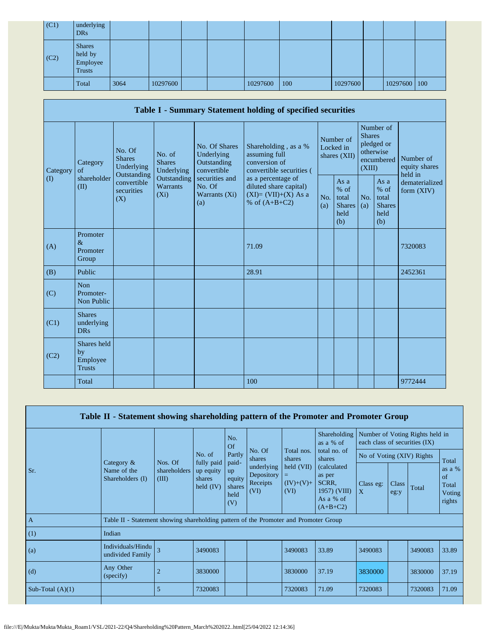| (C1) | underlying<br><b>DRs</b>                              |      |          |  |          |     |          |              |  |
|------|-------------------------------------------------------|------|----------|--|----------|-----|----------|--------------|--|
| (C2) | <b>Shares</b><br>held by<br>Employee<br><b>Trusts</b> |      |          |  |          |     |          |              |  |
|      | Total                                                 | 3064 | 10297600 |  | 10297600 | 100 | 10297600 | 10297600 100 |  |

|                   |                                                                        |                                       |                                                           |                                                                                    | Table I - Summary Statement holding of specified securities                                |            |                                                                               |            |                                                         |                                |
|-------------------|------------------------------------------------------------------------|---------------------------------------|-----------------------------------------------------------|------------------------------------------------------------------------------------|--------------------------------------------------------------------------------------------|------------|-------------------------------------------------------------------------------|------------|---------------------------------------------------------|--------------------------------|
| Category          | No. Of<br><b>Shares</b><br>Category<br>Underlying<br>of<br>Outstanding | No. of<br><b>Shares</b><br>Underlying | No. Of Shares<br>Underlying<br>Outstanding<br>convertible | Shareholding, as a %<br>assuming full<br>conversion of<br>convertible securities ( | Number of<br>Locked in<br>shares (XII)                                                     |            | Number of<br><b>Shares</b><br>pledged or<br>otherwise<br>encumbered<br>(XIII) |            | Number of<br>equity shares<br>held in                   |                                |
| $\textcircled{1}$ | shareholder<br>(II)                                                    | convertible<br>securities<br>(X)      | Outstanding<br>Warrants<br>$(X_i)$                        | securities and<br>No. Of<br>Warrants (Xi)<br>(a)                                   | as a percentage of<br>diluted share capital)<br>$(XI) = (VII)+(X)$ As a<br>% of $(A+B+C2)$ | No.<br>(a) | As a<br>$%$ of<br>total<br><b>Shares</b><br>held<br>(b)                       | No.<br>(a) | As a<br>$%$ of<br>total<br><b>Shares</b><br>held<br>(b) | dematerialized<br>form $(XIV)$ |
| (A)               | Promoter<br>$\&$<br>Promoter<br>Group                                  |                                       |                                                           |                                                                                    | 71.09                                                                                      |            |                                                                               |            |                                                         | 7320083                        |
| (B)               | Public                                                                 |                                       |                                                           |                                                                                    | 28.91                                                                                      |            |                                                                               |            |                                                         | 2452361                        |
| (C)               | <b>Non</b><br>Promoter-<br>Non Public                                  |                                       |                                                           |                                                                                    |                                                                                            |            |                                                                               |            |                                                         |                                |
| (C1)              | <b>Shares</b><br>underlying<br><b>DRs</b>                              |                                       |                                                           |                                                                                    |                                                                                            |            |                                                                               |            |                                                         |                                |
| (C2)              | Shares held<br>by<br>Employee<br><b>Trusts</b>                         |                                       |                                                           |                                                                                    |                                                                                            |            |                                                                               |            |                                                         |                                |
|                   | Total                                                                  |                                       |                                                           |                                                                                    | 100                                                                                        |            |                                                                               |            |                                                         | 9772444                        |

|                    | Table II - Statement showing shareholding pattern of the Promoter and Promoter Group |                                                                                                                                                                                           |                      |                  |                  |                      |                           |                                                                           |                           |                                 |       |                                           |
|--------------------|--------------------------------------------------------------------------------------|-------------------------------------------------------------------------------------------------------------------------------------------------------------------------------------------|----------------------|------------------|------------------|----------------------|---------------------------|---------------------------------------------------------------------------|---------------------------|---------------------------------|-------|-------------------------------------------|
|                    |                                                                                      |                                                                                                                                                                                           |                      | No.<br><b>Of</b> |                  |                      | Shareholding<br>as a % of | each class of securities (IX)                                             |                           | Number of Voting Rights held in |       |                                           |
|                    | Category $\&$                                                                        | Nos. Of                                                                                                                                                                                   | No. of<br>fully paid | Partly<br>paid-  | No. Of<br>shares | Total nos.<br>shares | total no. of<br>shares    | No of Voting (XIV) Rights                                                 |                           |                                 | Total |                                           |
| Sr.                | Name of the<br>Shareholders (I)                                                      | held (VII)<br>underlying<br>shareholders<br>up equity<br>up<br>Depository<br>(III)<br>equity<br>shares<br>Receipts<br>$(IV)+(V)+$<br>shares<br>held $(IV)$<br>(VI)<br>(VI)<br>held<br>(V) |                      |                  |                  |                      |                           | (calculated<br>as per<br>SCRR.<br>1957) (VIII)<br>As a % of<br>$(A+B+C2)$ | Class eg:<br>$\mathbf{X}$ | Class<br>eg:y                   | Total | as a %<br>of<br>Total<br>Voting<br>rights |
| $\overline{A}$     | Table II - Statement showing shareholding pattern of the Promoter and Promoter Group |                                                                                                                                                                                           |                      |                  |                  |                      |                           |                                                                           |                           |                                 |       |                                           |
| (1)                | Indian                                                                               |                                                                                                                                                                                           |                      |                  |                  |                      |                           |                                                                           |                           |                                 |       |                                           |
| (a)                | Individuals/Hindu<br>undivided Family                                                | $\overline{\mathcal{E}}$                                                                                                                                                                  | 3490083              |                  |                  | 3490083              | 33.89                     | 3490083                                                                   |                           | 3490083                         | 33.89 |                                           |
| (d)                | Any Other<br>(specify)                                                               | 2                                                                                                                                                                                         | 3830000              |                  |                  | 3830000              | 37.19                     | 3830000                                                                   |                           | 3830000                         | 37.19 |                                           |
| Sub-Total $(A)(1)$ |                                                                                      | 5                                                                                                                                                                                         | 7320083              |                  |                  | 7320083              | 71.09                     | 7320083                                                                   |                           | 7320083                         | 71.09 |                                           |
|                    |                                                                                      |                                                                                                                                                                                           |                      |                  |                  |                      |                           |                                                                           |                           |                                 |       |                                           |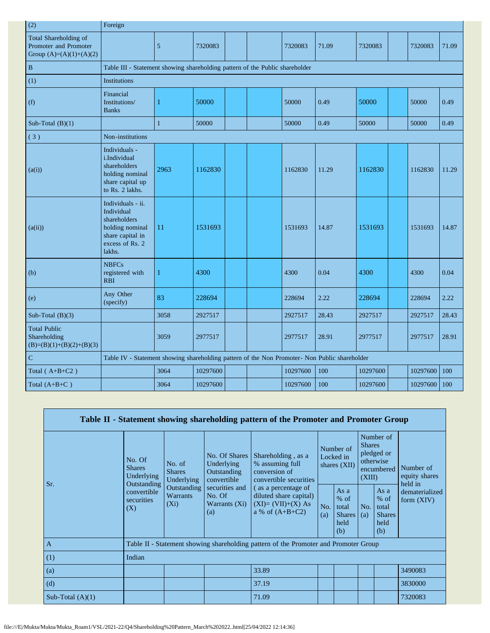| (2)                                                                         | Foreign                                                                                                             |              |          |  |          |       |          |          |       |
|-----------------------------------------------------------------------------|---------------------------------------------------------------------------------------------------------------------|--------------|----------|--|----------|-------|----------|----------|-------|
| Total Shareholding of<br>Promoter and Promoter<br>Group $(A)=(A)(1)+(A)(2)$ |                                                                                                                     | 5            | 7320083  |  | 7320083  | 71.09 | 7320083  | 7320083  | 71.09 |
| $\, {\bf B}$                                                                | Table III - Statement showing shareholding pattern of the Public shareholder                                        |              |          |  |          |       |          |          |       |
| (1)                                                                         | Institutions                                                                                                        |              |          |  |          |       |          |          |       |
| (f)                                                                         | Financial<br>Institutions/<br><b>Banks</b>                                                                          | 1            | 50000    |  | 50000    | 0.49  | 50000    | 50000    | 0.49  |
| Sub-Total $(B)(1)$                                                          |                                                                                                                     | $\mathbf{1}$ | 50000    |  | 50000    | 0.49  | 50000    | 50000    | 0.49  |
| (3)                                                                         | Non-institutions                                                                                                    |              |          |  |          |       |          |          |       |
| (a(i))                                                                      | Individuals -<br>i.Individual<br>shareholders<br>holding nominal<br>share capital up<br>to Rs. 2 lakhs.             | 2963         | 1162830  |  | 1162830  | 11.29 | 1162830  | 1162830  | 11.29 |
| (a(ii))                                                                     | Individuals - ii.<br>Individual<br>shareholders<br>holding nominal<br>share capital in<br>excess of Rs. 2<br>lakhs. | 11           | 1531693  |  | 1531693  | 14.87 | 1531693  | 1531693  | 14.87 |
| (b)                                                                         | <b>NBFCs</b><br>registered with<br><b>RBI</b>                                                                       | $\mathbf{1}$ | 4300     |  | 4300     | 0.04  | 4300     | 4300     | 0.04  |
| (e)                                                                         | Any Other<br>(specify)                                                                                              | 83           | 228694   |  | 228694   | 2.22  | 228694   | 228694   | 2.22  |
| Sub-Total $(B)(3)$                                                          |                                                                                                                     | 3058         | 2927517  |  | 2927517  | 28.43 | 2927517  | 2927517  | 28.43 |
| <b>Total Public</b><br>Shareholding<br>$(B)=(B)(1)+(B)(2)+(B)(3)$           |                                                                                                                     | 3059         | 2977517  |  | 2977517  | 28.91 | 2977517  | 2977517  | 28.91 |
| $\mathbf C$                                                                 | Table IV - Statement showing shareholding pattern of the Non Promoter- Non Public shareholder                       |              |          |  |          |       |          |          |       |
| Total $(A+B+C2)$                                                            |                                                                                                                     | 3064         | 10297600 |  | 10297600 | 100   | 10297600 | 10297600 | 100   |
| Total $(A+B+C)$                                                             |                                                                                                                     | 3064         | 10297600 |  | 10297600 | 100   | 10297600 | 10297600 | 100   |

|                    |                                                      |                                                                                                  |                                                           | Table II - Statement showing shareholding pattern of the Promoter and Promoter Group      |                                        |                                                       |                                                                               |                                                         |                                       |
|--------------------|------------------------------------------------------|--------------------------------------------------------------------------------------------------|-----------------------------------------------------------|-------------------------------------------------------------------------------------------|----------------------------------------|-------------------------------------------------------|-------------------------------------------------------------------------------|---------------------------------------------------------|---------------------------------------|
| Sr.                | No. Of<br><b>Shares</b><br>Underlying<br>Outstanding | No. of<br><b>Shares</b><br>Underlying                                                            | No. Of Shares<br>Underlying<br>Outstanding<br>convertible | Shareholding, as a<br>% assuming full<br>conversion of<br>convertible securities          | Number of<br>Locked in<br>shares (XII) |                                                       | Number of<br><b>Shares</b><br>pledged or<br>otherwise<br>encumbered<br>(XIII) |                                                         | Number of<br>equity shares<br>held in |
|                    | convertible<br>securities<br>(X)                     | Outstanding<br>securities and<br><b>Warrants</b><br>No. Of<br>$(X_i)$<br>Warrants $(X_i)$<br>(a) |                                                           | (as a percentage of<br>diluted share capital)<br>$(XI)=(VII)+(X) As$<br>a % of $(A+B+C2)$ | No.<br>(a)                             | As a<br>% of<br>total<br><b>Shares</b><br>held<br>(b) | No.<br>(a)                                                                    | As a<br>$%$ of<br>total<br><b>Shares</b><br>held<br>(b) | dematerialized<br>form $(XIV)$        |
| $\mathbf{A}$       |                                                      |                                                                                                  |                                                           | Table II - Statement showing shareholding pattern of the Promoter and Promoter Group      |                                        |                                                       |                                                                               |                                                         |                                       |
| (1)                | Indian                                               |                                                                                                  |                                                           |                                                                                           |                                        |                                                       |                                                                               |                                                         |                                       |
| (a)                |                                                      |                                                                                                  |                                                           | 33.89                                                                                     |                                        |                                                       |                                                                               |                                                         | 3490083                               |
| (d)                |                                                      |                                                                                                  |                                                           | 37.19                                                                                     |                                        |                                                       |                                                                               |                                                         | 3830000                               |
| Sub-Total $(A)(1)$ |                                                      |                                                                                                  |                                                           | 71.09                                                                                     |                                        |                                                       |                                                                               |                                                         | 7320083                               |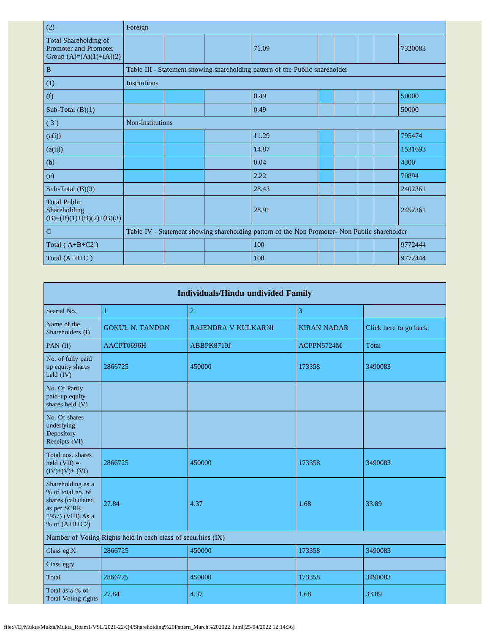| (2)                                                                                | Foreign          |  |                                                                                               |  |  |         |
|------------------------------------------------------------------------------------|------------------|--|-----------------------------------------------------------------------------------------------|--|--|---------|
| Total Shareholding of<br><b>Promoter and Promoter</b><br>Group $(A)=(A)(1)+(A)(2)$ |                  |  | 71.09                                                                                         |  |  | 7320083 |
| $\, {\bf B}$                                                                       |                  |  | Table III - Statement showing shareholding pattern of the Public shareholder                  |  |  |         |
| (1)                                                                                | Institutions     |  |                                                                                               |  |  |         |
| (f)                                                                                |                  |  | 0.49                                                                                          |  |  | 50000   |
| Sub-Total $(B)(1)$                                                                 |                  |  | 0.49                                                                                          |  |  | 50000   |
| (3)                                                                                | Non-institutions |  |                                                                                               |  |  |         |
| (a(i))                                                                             |                  |  | 11.29                                                                                         |  |  | 795474  |
| (a(ii))                                                                            |                  |  | 14.87                                                                                         |  |  | 1531693 |
| (b)                                                                                |                  |  | 0.04                                                                                          |  |  | 4300    |
| (e)                                                                                |                  |  | 2.22                                                                                          |  |  | 70894   |
| Sub-Total $(B)(3)$                                                                 |                  |  | 28.43                                                                                         |  |  | 2402361 |
| <b>Total Public</b><br>Shareholding<br>$(B)=(B)(1)+(B)(2)+(B)(3)$                  |                  |  | 28.91                                                                                         |  |  | 2452361 |
| $\mathbf C$                                                                        |                  |  | Table IV - Statement showing shareholding pattern of the Non Promoter- Non Public shareholder |  |  |         |
| Total $(A+B+C2)$                                                                   |                  |  | 100                                                                                           |  |  | 9772444 |
| Total $(A+B+C)$                                                                    |                  |  | 100                                                                                           |  |  | 9772444 |

| <b>Individuals/Hindu undivided Family</b>                                                                            |                                                               |                     |                    |                       |  |  |  |  |  |  |
|----------------------------------------------------------------------------------------------------------------------|---------------------------------------------------------------|---------------------|--------------------|-----------------------|--|--|--|--|--|--|
| Searial No.                                                                                                          | 1                                                             | $\overline{2}$      | 3                  |                       |  |  |  |  |  |  |
| Name of the<br>Shareholders (I)                                                                                      | <b>GOKUL N. TANDON</b>                                        | RAJENDRA V KULKARNI | <b>KIRAN NADAR</b> | Click here to go back |  |  |  |  |  |  |
| PAN $(II)$                                                                                                           | AACPT0696H                                                    | ABBPK8719J          | ACPPN5724M         | Total                 |  |  |  |  |  |  |
| No. of fully paid<br>up equity shares<br>held $(IV)$                                                                 | 2866725                                                       | 450000              | 173358             | 3490083               |  |  |  |  |  |  |
| No. Of Partly<br>paid-up equity<br>shares held (V)                                                                   |                                                               |                     |                    |                       |  |  |  |  |  |  |
| No. Of shares<br>underlying<br>Depository<br>Receipts (VI)                                                           |                                                               |                     |                    |                       |  |  |  |  |  |  |
| Total nos. shares<br>held $(VII) =$<br>$(IV)+(V)+(VI)$                                                               | 2866725                                                       | 450000              | 173358             | 3490083               |  |  |  |  |  |  |
| Shareholding as a<br>% of total no. of<br>shares (calculated<br>as per SCRR,<br>1957) (VIII) As a<br>% of $(A+B+C2)$ | 27.84                                                         | 4.37                | 1.68               | 33.89                 |  |  |  |  |  |  |
|                                                                                                                      | Number of Voting Rights held in each class of securities (IX) |                     |                    |                       |  |  |  |  |  |  |
| Class eg:X                                                                                                           | 2866725                                                       | 450000              | 173358             | 3490083               |  |  |  |  |  |  |
| Class eg:y                                                                                                           |                                                               |                     |                    |                       |  |  |  |  |  |  |
| Total                                                                                                                | 2866725                                                       | 450000              | 173358             | 3490083               |  |  |  |  |  |  |
| Total as a % of<br><b>Total Voting rights</b>                                                                        | 27.84                                                         | 4.37                | 1.68               | 33.89                 |  |  |  |  |  |  |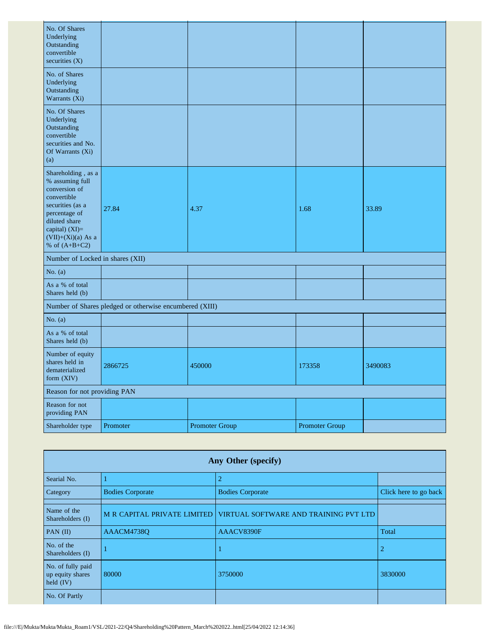| No. Of Shares<br>Underlying<br>Outstanding<br>convertible<br>securities $(X)$                                                                                                            |                                                         |                       |                       |         |
|------------------------------------------------------------------------------------------------------------------------------------------------------------------------------------------|---------------------------------------------------------|-----------------------|-----------------------|---------|
| No. of Shares<br>Underlying<br>Outstanding<br>Warrants (Xi)                                                                                                                              |                                                         |                       |                       |         |
| No. Of Shares<br>Underlying<br>Outstanding<br>convertible<br>securities and No.<br>Of Warrants (Xi)<br>(a)                                                                               |                                                         |                       |                       |         |
| Shareholding, as a<br>% assuming full<br>conversion of<br>convertible<br>securities (as a<br>percentage of<br>diluted share<br>capital) (XI)=<br>$(VII)+(Xi)(a)$ As a<br>% of $(A+B+C2)$ | 27.84                                                   | 4.37                  | 1.68                  | 33.89   |
| Number of Locked in shares (XII)                                                                                                                                                         |                                                         |                       |                       |         |
| No. $(a)$                                                                                                                                                                                |                                                         |                       |                       |         |
| As a % of total<br>Shares held (b)                                                                                                                                                       |                                                         |                       |                       |         |
|                                                                                                                                                                                          | Number of Shares pledged or otherwise encumbered (XIII) |                       |                       |         |
| No. $(a)$                                                                                                                                                                                |                                                         |                       |                       |         |
| As a % of total<br>Shares held (b)                                                                                                                                                       |                                                         |                       |                       |         |
| Number of equity<br>shares held in<br>dematerialized<br>form (XIV)                                                                                                                       | 2866725                                                 | 450000                | 173358                | 3490083 |
| Reason for not providing PAN                                                                                                                                                             |                                                         |                       |                       |         |
| Reason for not<br>providing PAN                                                                                                                                                          |                                                         |                       |                       |         |
| Shareholder type                                                                                                                                                                         | Promoter                                                | <b>Promoter Group</b> | <b>Promoter Group</b> |         |

|                                                      | Any Other (specify)                |                                       |                       |  |  |  |  |  |  |  |
|------------------------------------------------------|------------------------------------|---------------------------------------|-----------------------|--|--|--|--|--|--|--|
| Searial No.                                          |                                    | $\overline{2}$                        |                       |  |  |  |  |  |  |  |
| Category                                             | <b>Bodies Corporate</b>            | <b>Bodies Corporate</b>               | Click here to go back |  |  |  |  |  |  |  |
| Name of the<br>Shareholders (I)                      | <b>M R CAPITAL PRIVATE LIMITED</b> | VIRTUAL SOFTWARE AND TRAINING PVT LTD |                       |  |  |  |  |  |  |  |
| PAN $(II)$                                           | AAACM4738O                         | AAACV8390F                            | Total                 |  |  |  |  |  |  |  |
| No. of the<br>Shareholders (I)                       |                                    |                                       | 2                     |  |  |  |  |  |  |  |
| No. of fully paid<br>up equity shares<br>held $(IV)$ | 80000                              | 3750000                               | 3830000               |  |  |  |  |  |  |  |
| No. Of Partly                                        |                                    |                                       |                       |  |  |  |  |  |  |  |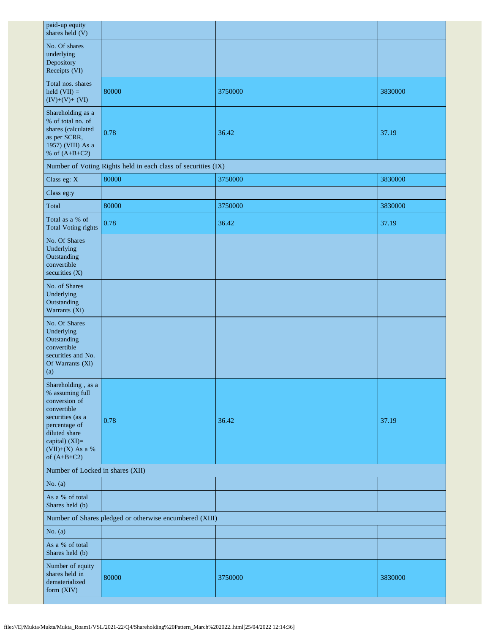| paid-up equity<br>shares held (V)                                                                                                                                                    |                                                               |         |         |  |  |
|--------------------------------------------------------------------------------------------------------------------------------------------------------------------------------------|---------------------------------------------------------------|---------|---------|--|--|
| No. Of shares<br>underlying<br>Depository<br>Receipts (VI)                                                                                                                           |                                                               |         |         |  |  |
| Total nos. shares<br>held $(VII) =$<br>$(IV)+(V)+(VI)$                                                                                                                               | 80000                                                         | 3750000 | 3830000 |  |  |
| Shareholding as a<br>% of total no. of<br>shares (calculated<br>as per SCRR,<br>1957) (VIII) As a<br>% of $(A+B+C2)$                                                                 | 0.78                                                          | 36.42   | 37.19   |  |  |
|                                                                                                                                                                                      | Number of Voting Rights held in each class of securities (IX) |         |         |  |  |
| Class eg: X                                                                                                                                                                          | 80000                                                         | 3750000 | 3830000 |  |  |
| Class eg:y                                                                                                                                                                           |                                                               |         |         |  |  |
| Total                                                                                                                                                                                | 80000                                                         | 3750000 | 3830000 |  |  |
| Total as a % of<br><b>Total Voting rights</b>                                                                                                                                        | 0.78                                                          | 36.42   | 37.19   |  |  |
| No. Of Shares<br>Underlying<br>Outstanding<br>convertible<br>securities (X)                                                                                                          |                                                               |         |         |  |  |
| No. of Shares<br>Underlying<br>Outstanding<br>Warrants (Xi)                                                                                                                          |                                                               |         |         |  |  |
| No. Of Shares<br>Underlying<br>Outstanding<br>convertible<br>securities and No.<br>Of Warrants (Xi)<br>(a)                                                                           |                                                               |         |         |  |  |
| Shareholding, as a<br>% assuming full<br>conversion of<br>convertible<br>securities (as a<br>percentage of<br>diluted share<br>capital) (XI)=<br>$(VII)+(X)$ As a %<br>of $(A+B+C2)$ | 0.78                                                          | 36.42   | 37.19   |  |  |
| Number of Locked in shares (XII)                                                                                                                                                     |                                                               |         |         |  |  |
| No. $(a)$                                                                                                                                                                            |                                                               |         |         |  |  |
| As a % of total<br>Shares held (b)                                                                                                                                                   |                                                               |         |         |  |  |
| Number of Shares pledged or otherwise encumbered (XIII)                                                                                                                              |                                                               |         |         |  |  |
| No. $(a)$                                                                                                                                                                            |                                                               |         |         |  |  |
| As a % of total<br>Shares held (b)                                                                                                                                                   |                                                               |         |         |  |  |
| Number of equity<br>shares held in<br>dematerialized<br>form (XIV)                                                                                                                   | 80000                                                         | 3750000 | 3830000 |  |  |

H.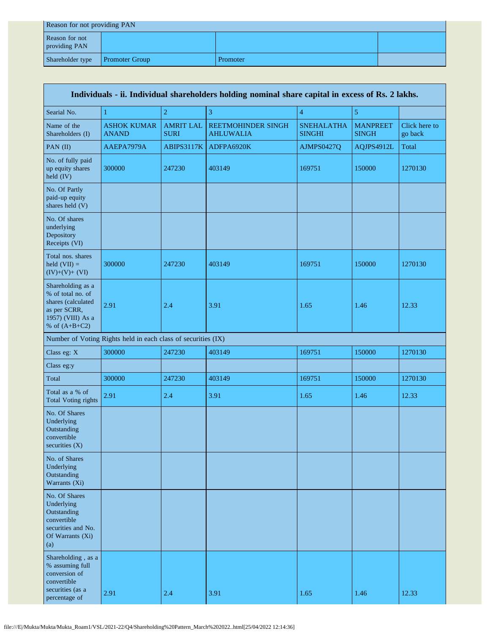| Reason for not providing PAN    |                       |          |  |  |
|---------------------------------|-----------------------|----------|--|--|
| Reason for not<br>providing PAN |                       |          |  |  |
| Shareholder type                | <b>Promoter Group</b> | Promoter |  |  |

| Individuals - ii. Individual shareholders holding nominal share capital in excess of Rs. 2 lakhs.                    |                                                               |                                 |                                               |                                    |                                 |                          |
|----------------------------------------------------------------------------------------------------------------------|---------------------------------------------------------------|---------------------------------|-----------------------------------------------|------------------------------------|---------------------------------|--------------------------|
| Searial No.                                                                                                          | 1                                                             | $\boldsymbol{2}$                | 3                                             | $\overline{\mathbf{4}}$            | 5                               |                          |
| Name of the<br>Shareholders (I)                                                                                      | <b>ASHOK KUMAR</b><br><b>ANAND</b>                            | <b>AMRIT LAL</b><br><b>SURI</b> | <b>REETMOHINDER SINGH</b><br><b>AHLUWALIA</b> | <b>SNEHALATHA</b><br><b>SINGHI</b> | <b>MANPREET</b><br><b>SINGH</b> | Click here to<br>go back |
| PAN (II)                                                                                                             | AAEPA7979A                                                    | ABIPS3117K                      | ADFPA6920K                                    | AJMPS0427Q                         | AQJPS4912L                      | Total                    |
| No. of fully paid<br>up equity shares<br>$\text{held (IV)}$                                                          | 300000                                                        | 247230                          | 403149                                        | 169751                             | 150000                          | 1270130                  |
| No. Of Partly<br>paid-up equity<br>shares held (V)                                                                   |                                                               |                                 |                                               |                                    |                                 |                          |
| No. Of shares<br>underlying<br>Depository<br>Receipts (VI)                                                           |                                                               |                                 |                                               |                                    |                                 |                          |
| Total nos. shares<br>held $(VII) =$<br>$(IV)+(V)+(VI)$                                                               | 300000                                                        | 247230                          | 403149                                        | 169751                             | 150000                          | 1270130                  |
| Shareholding as a<br>% of total no. of<br>shares (calculated<br>as per SCRR,<br>1957) (VIII) As a<br>% of $(A+B+C2)$ | 2.91                                                          | 2.4                             | 3.91                                          | 1.65                               | 1.46                            | 12.33                    |
|                                                                                                                      | Number of Voting Rights held in each class of securities (IX) |                                 |                                               |                                    |                                 |                          |
| Class eg: X                                                                                                          | 300000                                                        | 247230                          | 403149                                        | 169751                             | 150000                          | 1270130                  |
| Class eg:y                                                                                                           |                                                               |                                 |                                               |                                    |                                 |                          |
| Total                                                                                                                | 300000                                                        | 247230                          | 403149                                        | 169751                             | 150000                          | 1270130                  |
| Total as a % of<br><b>Total Voting rights</b>                                                                        | 2.91                                                          | 2.4                             | 3.91                                          | 1.65                               | 1.46                            | 12.33                    |
| No. Of Shares<br>Underlying<br>Outstanding<br>convertible<br>securities (X)                                          |                                                               |                                 |                                               |                                    |                                 |                          |
| No. of Shares<br>Underlying<br>Outstanding<br>Warrants (Xi)                                                          |                                                               |                                 |                                               |                                    |                                 |                          |
| No. Of Shares<br>Underlying<br>Outstanding<br>convertible<br>securities and No.<br>Of Warrants (Xi)<br>(a)           |                                                               |                                 |                                               |                                    |                                 |                          |
| Shareholding, as a<br>% assuming full<br>conversion of<br>convertible<br>securities (as a<br>percentage of           | 2.91                                                          | 2.4                             | 3.91                                          | 1.65                               | 1.46                            | 12.33                    |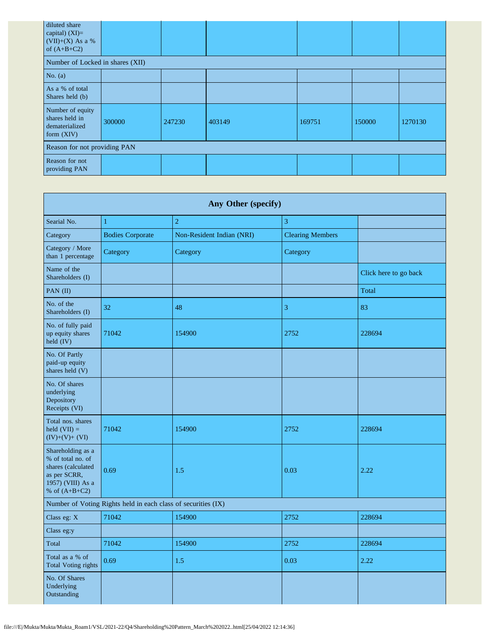| diluted share<br>capital) $(XI)=$<br>$(VII)+(X)$ As a %<br>of $(A+B+C2)$ |        |        |        |        |        |         |
|--------------------------------------------------------------------------|--------|--------|--------|--------|--------|---------|
| Number of Locked in shares (XII)                                         |        |        |        |        |        |         |
| No. $(a)$                                                                |        |        |        |        |        |         |
| As a % of total<br>Shares held (b)                                       |        |        |        |        |        |         |
| Number of equity<br>shares held in<br>dematerialized<br>form (XIV)       | 300000 | 247230 | 403149 | 169751 | 150000 | 1270130 |
| Reason for not providing PAN                                             |        |        |        |        |        |         |
| Reason for not<br>providing PAN                                          |        |        |        |        |        |         |

| Any Other (specify)                                                                                                  |                         |                           |                         |                       |  |  |
|----------------------------------------------------------------------------------------------------------------------|-------------------------|---------------------------|-------------------------|-----------------------|--|--|
| Searial No.                                                                                                          | $\mathbf{1}$            | $\overline{2}$            | 3                       |                       |  |  |
| Category                                                                                                             | <b>Bodies Corporate</b> | Non-Resident Indian (NRI) | <b>Clearing Members</b> |                       |  |  |
| Category / More<br>than 1 percentage                                                                                 | Category                | Category                  | Category                |                       |  |  |
| Name of the<br>Shareholders (I)                                                                                      |                         |                           |                         | Click here to go back |  |  |
| PAN (II)                                                                                                             |                         |                           |                         | Total                 |  |  |
| No. of the<br>Shareholders (I)                                                                                       | 32                      | 48                        | 3                       | 83                    |  |  |
| No. of fully paid<br>up equity shares<br>held (IV)                                                                   | 71042                   | 154900                    | 2752                    | 228694                |  |  |
| No. Of Partly<br>paid-up equity<br>shares held (V)                                                                   |                         |                           |                         |                       |  |  |
| No. Of shares<br>underlying<br>Depository<br>Receipts (VI)                                                           |                         |                           |                         |                       |  |  |
| Total nos. shares<br>held $(VII) =$<br>$(IV)+(V)+(VI)$                                                               | 71042                   | 154900                    | 2752                    | 228694                |  |  |
| Shareholding as a<br>% of total no. of<br>shares (calculated<br>as per SCRR,<br>1957) (VIII) As a<br>% of $(A+B+C2)$ | 0.69                    | 1.5                       | 0.03                    | 2.22                  |  |  |
| Number of Voting Rights held in each class of securities (IX)                                                        |                         |                           |                         |                       |  |  |
| Class eg: X                                                                                                          | 71042                   | 154900                    | 2752                    | 228694                |  |  |
| Class eg:y                                                                                                           |                         |                           |                         |                       |  |  |
| Total                                                                                                                | 71042                   | 154900                    | 2752                    | 228694                |  |  |
| Total as a % of<br><b>Total Voting rights</b>                                                                        | 0.69                    | $1.5$                     | 0.03                    | 2.22                  |  |  |
| No. Of Shares<br>Underlying<br>Outstanding                                                                           |                         |                           |                         |                       |  |  |